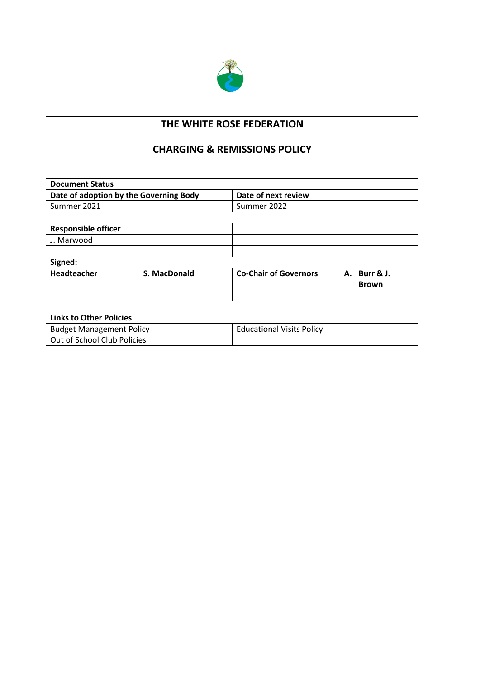

## **THE WHITE ROSE FEDERATION**

## **CHARGING & REMISSIONS POLICY**

| <b>Document Status</b>                 |              |                              |              |  |  |  |
|----------------------------------------|--------------|------------------------------|--------------|--|--|--|
| Date of adoption by the Governing Body |              | Date of next review          |              |  |  |  |
| Summer 2021                            |              | Summer 2022                  |              |  |  |  |
|                                        |              |                              |              |  |  |  |
| <b>Responsible officer</b>             |              |                              |              |  |  |  |
| J. Marwood                             |              |                              |              |  |  |  |
|                                        |              |                              |              |  |  |  |
| Signed:                                |              |                              |              |  |  |  |
| Headteacher                            | S. MacDonald | <b>Co-Chair of Governors</b> | A. Burr & J. |  |  |  |
|                                        |              |                              | <b>Brown</b> |  |  |  |
|                                        |              |                              |              |  |  |  |

| Links to Other Policies         |                                  |
|---------------------------------|----------------------------------|
| <b>Budget Management Policy</b> | <b>Educational Visits Policy</b> |
| Out of School Club Policies     |                                  |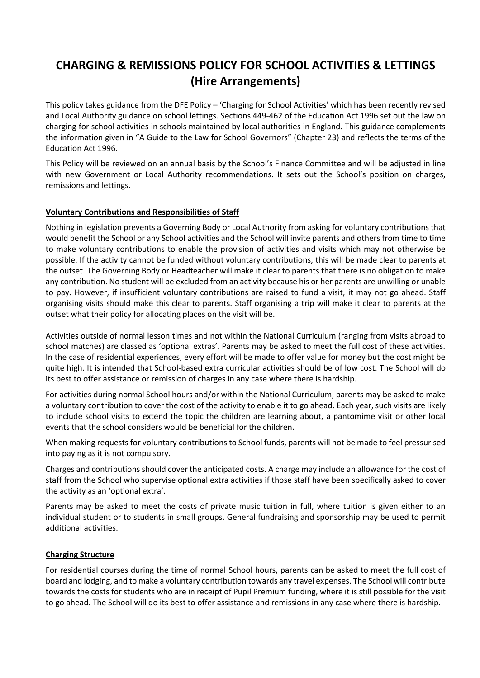# **CHARGING & REMISSIONS POLICY FOR SCHOOL ACTIVITIES & LETTINGS (Hire Arrangements)**

This policy takes guidance from the DFE Policy – 'Charging for School Activities' which has been recently revised and Local Authority guidance on school lettings. Sections 449-462 of the Education Act 1996 set out the law on charging for school activities in schools maintained by local authorities in England. This guidance complements the information given in "A Guide to the Law for School Governors" (Chapter 23) and reflects the terms of the Education Act 1996.

This Policy will be reviewed on an annual basis by the School's Finance Committee and will be adjusted in line with new Government or Local Authority recommendations. It sets out the School's position on charges, remissions and lettings.

### **Voluntary Contributions and Responsibilities of Staff**

Nothing in legislation prevents a Governing Body or Local Authority from asking for voluntary contributions that would benefit the School or any School activities and the School will invite parents and others from time to time to make voluntary contributions to enable the provision of activities and visits which may not otherwise be possible. If the activity cannot be funded without voluntary contributions, this will be made clear to parents at the outset. The Governing Body or Headteacher will make it clear to parents that there is no obligation to make any contribution. No student will be excluded from an activity because his or her parents are unwilling or unable to pay. However, if insufficient voluntary contributions are raised to fund a visit, it may not go ahead. Staff organising visits should make this clear to parents. Staff organising a trip will make it clear to parents at the outset what their policy for allocating places on the visit will be.

Activities outside of normal lesson times and not within the National Curriculum (ranging from visits abroad to school matches) are classed as 'optional extras'. Parents may be asked to meet the full cost of these activities. In the case of residential experiences, every effort will be made to offer value for money but the cost might be quite high. It is intended that School-based extra curricular activities should be of low cost. The School will do its best to offer assistance or remission of charges in any case where there is hardship.

For activities during normal School hours and/or within the National Curriculum, parents may be asked to make a voluntary contribution to cover the cost of the activity to enable it to go ahead. Each year, such visits are likely to include school visits to extend the topic the children are learning about, a pantomime visit or other local events that the school considers would be beneficial for the children.

When making requests for voluntary contributions to School funds, parents will not be made to feel pressurised into paying as it is not compulsory.

Charges and contributions should cover the anticipated costs. A charge may include an allowance for the cost of staff from the School who supervise optional extra activities if those staff have been specifically asked to cover the activity as an 'optional extra'.

Parents may be asked to meet the costs of private music tuition in full, where tuition is given either to an individual student or to students in small groups. General fundraising and sponsorship may be used to permit additional activities.

#### **Charging Structure**

For residential courses during the time of normal School hours, parents can be asked to meet the full cost of board and lodging, and to make a voluntary contribution towards any travel expenses. The School will contribute towards the costs for students who are in receipt of Pupil Premium funding, where it is still possible for the visit to go ahead. The School will do its best to offer assistance and remissions in any case where there is hardship.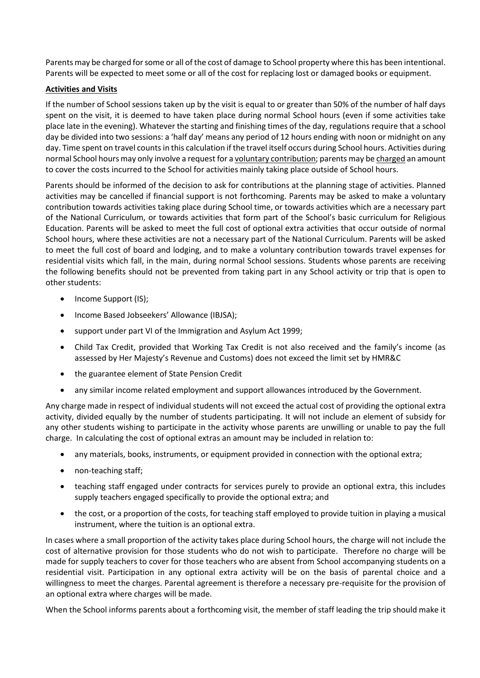Parents may be charged for some or all of the cost of damage to School property where this has been intentional. Parents will be expected to meet some or all of the cost for replacing lost or damaged books or equipment.

#### **Activities and Visits**

If the number of School sessions taken up by the visit is equal to or greater than 50% of the number of half days spent on the visit, it is deemed to have taken place during normal School hours (even if some activities take place late in the evening). Whatever the starting and finishing times of the day, regulations require that a school day be divided into two sessions: a 'half day' means any period of 12 hours ending with noon or midnight on any day. Time spent on travel counts in this calculation if the travel itself occurs during School hours. Activities during normal School hours may only involve a request for a voluntary contribution; parents may be charged an amount to cover the costs incurred to the School for activities mainly taking place outside of School hours.

Parents should be informed of the decision to ask for contributions at the planning stage of activities. Planned activities may be cancelled if financial support is not forthcoming. Parents may be asked to make a voluntary contribution towards activities taking place during School time, or towards activities which are a necessary part of the National Curriculum, or towards activities that form part of the School's basic curriculum for Religious Education. Parents will be asked to meet the full cost of optional extra activities that occur outside of normal School hours, where these activities are not a necessary part of the National Curriculum. Parents will be asked to meet the full cost of board and lodging, and to make a voluntary contribution towards travel expenses for residential visits which fall, in the main, during normal School sessions. Students whose parents are receiving the following benefits should not be prevented from taking part in any School activity or trip that is open to other students:

- Income Support (IS);
- Income Based Jobseekers' Allowance (IBJSA);
- support under part VI of the Immigration and Asylum Act 1999;
- Child Tax Credit, provided that Working Tax Credit is not also received and the family's income (as assessed by Her Majesty's Revenue and Customs) does not exceed the limit set by HMR&C
- the guarantee element of State Pension Credit
- any similar income related employment and support allowances introduced by the Government.

Any charge made in respect of individual students will not exceed the actual cost of providing the optional extra activity, divided equally by the number of students participating. It will not include an element of subsidy for any other students wishing to participate in the activity whose parents are unwilling or unable to pay the full charge. In calculating the cost of optional extras an amount may be included in relation to:

- any materials, books, instruments, or equipment provided in connection with the optional extra;
- non-teaching staff;
- teaching staff engaged under contracts for services purely to provide an optional extra, this includes supply teachers engaged specifically to provide the optional extra; and
- the cost, or a proportion of the costs, for teaching staff employed to provide tuition in playing a musical instrument, where the tuition is an optional extra.

In cases where a small proportion of the activity takes place during School hours, the charge will not include the cost of alternative provision for those students who do not wish to participate. Therefore no charge will be made for supply teachers to cover for those teachers who are absent from School accompanying students on a residential visit. Participation in any optional extra activity will be on the basis of parental choice and a willingness to meet the charges. Parental agreement is therefore a necessary pre-requisite for the provision of an optional extra where charges will be made.

When the School informs parents about a forthcoming visit, the member of staff leading the trip should make it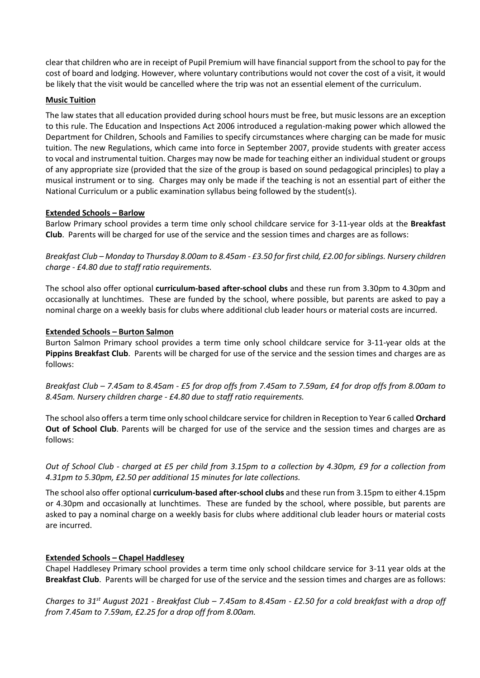clear that children who are in receipt of Pupil Premium will have financial support from the school to pay for the cost of board and lodging. However, where voluntary contributions would not cover the cost of a visit, it would be likely that the visit would be cancelled where the trip was not an essential element of the curriculum.

#### **Music Tuition**

The law states that all education provided during school hours must be free, but music lessons are an exception to this rule. The Education and Inspections Act 2006 introduced a regulation-making power which allowed the Department for Children, Schools and Families to specify circumstances where charging can be made for music tuition. The new Regulations, which came into force in September 2007, provide students with greater access to vocal and instrumental tuition. Charges may now be made for teaching either an individual student or groups of any appropriate size (provided that the size of the group is based on sound pedagogical principles) to play a musical instrument or to sing. Charges may only be made if the teaching is not an essential part of either the National Curriculum or a public examination syllabus being followed by the student(s).

#### **Extended Schools – Barlow**

Barlow Primary school provides a term time only school childcare service for 3-11-year olds at the **Breakfast Club**. Parents will be charged for use of the service and the session times and charges are as follows:

*Breakfast Club – Monday to Thursday 8.00am to 8.45am - £3.50 for first child, £2.00 for siblings. Nursery children charge - £4.80 due to staff ratio requirements.*

The school also offer optional **curriculum-based after-school clubs** and these run from 3.30pm to 4.30pm and occasionally at lunchtimes. These are funded by the school, where possible, but parents are asked to pay a nominal charge on a weekly basis for clubs where additional club leader hours or material costs are incurred.

#### **Extended Schools – Burton Salmon**

Burton Salmon Primary school provides a term time only school childcare service for 3-11-year olds at the **Pippins Breakfast Club**. Parents will be charged for use of the service and the session times and charges are as follows:

*Breakfast Club – 7.45am to 8.45am - £5 for drop offs from 7.45am to 7.59am, £4 for drop offs from 8.00am to 8.45am. Nursery children charge - £4.80 due to staff ratio requirements.*

The school also offers a term time only school childcare service for children in Reception to Year 6 called **Orchard Out of School Club**. Parents will be charged for use of the service and the session times and charges are as follows:

*Out of School Club - charged at £5 per child from 3.15pm to a collection by 4.30pm, £9 for a collection from 4.31pm to 5.30pm, £2.50 per additional 15 minutes for late collections.*

The school also offer optional **curriculum-based after-school clubs** and these run from 3.15pm to either 4.15pm or 4.30pm and occasionally at lunchtimes. These are funded by the school, where possible, but parents are asked to pay a nominal charge on a weekly basis for clubs where additional club leader hours or material costs are incurred.

### **Extended Schools – Chapel Haddlesey**

Chapel Haddlesey Primary school provides a term time only school childcare service for 3-11 year olds at the **Breakfast Club**. Parents will be charged for use of the service and the session times and charges are as follows:

*Charges to 31st August 2021 - Breakfast Club – 7.45am to 8.45am - £2.50 for a cold breakfast with a drop off from 7.45am to 7.59am, £2.25 for a drop off from 8.00am.*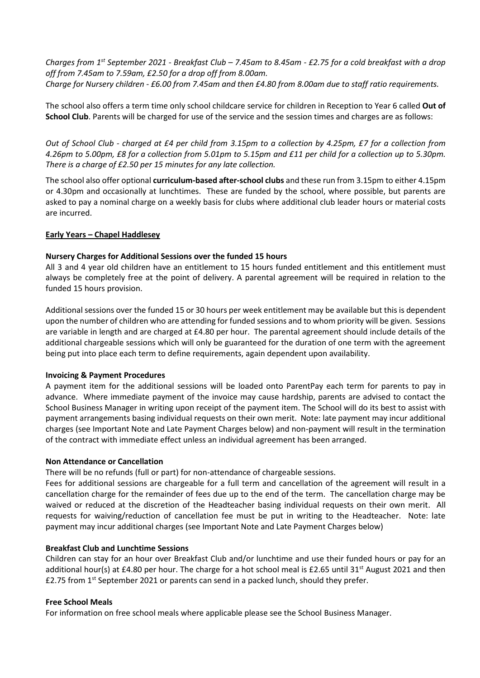*Charges from 1st September 2021 - Breakfast Club – 7.45am to 8.45am - £2.75 for a cold breakfast with a drop off from 7.45am to 7.59am, £2.50 for a drop off from 8.00am. Charge for Nursery children - £6.00 from 7.45am and then £4.80 from 8.00am due to staff ratio requirements.*

The school also offers a term time only school childcare service for children in Reception to Year 6 called **Out of School Club**. Parents will be charged for use of the service and the session times and charges are as follows:

*Out of School Club - charged at £4 per child from 3.15pm to a collection by 4.25pm, £7 for a collection from 4.26pm to 5.00pm, £8 for a collection from 5.01pm to 5.15pm and £11 per child for a collection up to 5.30pm. There is a charge of £2.50 per 15 minutes for any late collection.*

The school also offer optional **curriculum-based after-school clubs** and these run from 3.15pm to either 4.15pm or 4.30pm and occasionally at lunchtimes. These are funded by the school, where possible, but parents are asked to pay a nominal charge on a weekly basis for clubs where additional club leader hours or material costs are incurred.

#### **Early Years – Chapel Haddlesey**

#### **Nursery Charges for Additional Sessions over the funded 15 hours**

All 3 and 4 year old children have an entitlement to 15 hours funded entitlement and this entitlement must always be completely free at the point of delivery. A parental agreement will be required in relation to the funded 15 hours provision.

Additional sessions over the funded 15 or 30 hours per week entitlement may be available but this is dependent upon the number of children who are attending for funded sessions and to whom priority will be given. Sessions are variable in length and are charged at £4.80 per hour. The parental agreement should include details of the additional chargeable sessions which will only be guaranteed for the duration of one term with the agreement being put into place each term to define requirements, again dependent upon availability.

#### **Invoicing & Payment Procedures**

A payment item for the additional sessions will be loaded onto ParentPay each term for parents to pay in advance. Where immediate payment of the invoice may cause hardship, parents are advised to contact the School Business Manager in writing upon receipt of the payment item. The School will do its best to assist with payment arrangements basing individual requests on their own merit. Note: late payment may incur additional charges (see Important Note and Late Payment Charges below) and non-payment will result in the termination of the contract with immediate effect unless an individual agreement has been arranged.

#### **Non Attendance or Cancellation**

There will be no refunds (full or part) for non-attendance of chargeable sessions.

Fees for additional sessions are chargeable for a full term and cancellation of the agreement will result in a cancellation charge for the remainder of fees due up to the end of the term. The cancellation charge may be waived or reduced at the discretion of the Headteacher basing individual requests on their own merit. All requests for waiving/reduction of cancellation fee must be put in writing to the Headteacher. Note: late payment may incur additional charges (see Important Note and Late Payment Charges below)

#### **Breakfast Club and Lunchtime Sessions**

Children can stay for an hour over Breakfast Club and/or lunchtime and use their funded hours or pay for an additional hour(s) at £4.80 per hour. The charge for a hot school meal is £2.65 until 31<sup>st</sup> August 2021 and then £2.75 from  $1^{st}$  September 2021 or parents can send in a packed lunch, should they prefer.

#### **Free School Meals**

For information on free school meals where applicable please see the School Business Manager.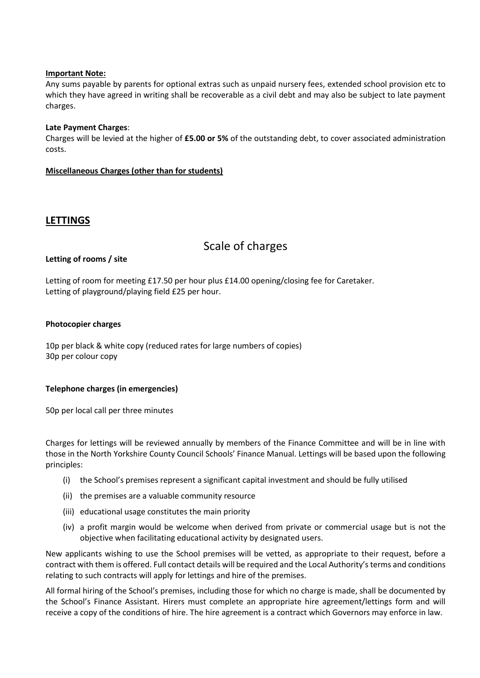#### **Important Note:**

Any sums payable by parents for optional extras such as unpaid nursery fees, extended school provision etc to which they have agreed in writing shall be recoverable as a civil debt and may also be subject to late payment charges.

#### **Late Payment Charges**:

Charges will be levied at the higher of **£5.00 or 5%** of the outstanding debt, to cover associated administration costs.

#### **Miscellaneous Charges (other than for students)**

## **LETTINGS**

## Scale of charges

#### **Letting of rooms / site**

Letting of room for meeting £17.50 per hour plus £14.00 opening/closing fee for Caretaker. Letting of playground/playing field £25 per hour.

#### **Photocopier charges**

10p per black & white copy (reduced rates for large numbers of copies) 30p per colour copy

#### **Telephone charges (in emergencies)**

50p per local call per three minutes

Charges for lettings will be reviewed annually by members of the Finance Committee and will be in line with those in the North Yorkshire County Council Schools' Finance Manual. Lettings will be based upon the following principles:

- (i) the School's premises represent a significant capital investment and should be fully utilised
- (ii) the premises are a valuable community resource
- (iii) educational usage constitutes the main priority
- (iv) a profit margin would be welcome when derived from private or commercial usage but is not the objective when facilitating educational activity by designated users.

New applicants wishing to use the School premises will be vetted, as appropriate to their request, before a contract with them is offered. Full contact details will be required and the Local Authority's terms and conditions relating to such contracts will apply for lettings and hire of the premises.

All formal hiring of the School's premises, including those for which no charge is made, shall be documented by the School's Finance Assistant. Hirers must complete an appropriate hire agreement/lettings form and will receive a copy of the conditions of hire. The hire agreement is a contract which Governors may enforce in law.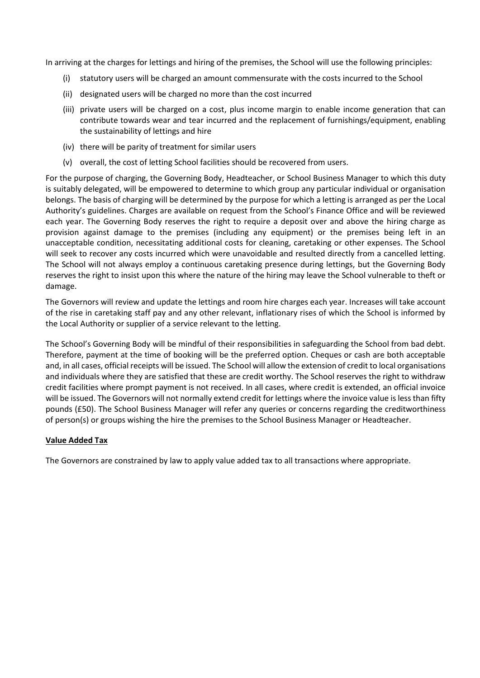In arriving at the charges for lettings and hiring of the premises, the School will use the following principles:

- (i) statutory users will be charged an amount commensurate with the costs incurred to the School
- (ii) designated users will be charged no more than the cost incurred
- (iii) private users will be charged on a cost, plus income margin to enable income generation that can contribute towards wear and tear incurred and the replacement of furnishings/equipment, enabling the sustainability of lettings and hire
- (iv) there will be parity of treatment for similar users
- (v) overall, the cost of letting School facilities should be recovered from users.

For the purpose of charging, the Governing Body, Headteacher, or School Business Manager to which this duty is suitably delegated, will be empowered to determine to which group any particular individual or organisation belongs. The basis of charging will be determined by the purpose for which a letting is arranged as per the Local Authority's guidelines. Charges are available on request from the School's Finance Office and will be reviewed each year. The Governing Body reserves the right to require a deposit over and above the hiring charge as provision against damage to the premises (including any equipment) or the premises being left in an unacceptable condition, necessitating additional costs for cleaning, caretaking or other expenses. The School will seek to recover any costs incurred which were unavoidable and resulted directly from a cancelled letting. The School will not always employ a continuous caretaking presence during lettings, but the Governing Body reserves the right to insist upon this where the nature of the hiring may leave the School vulnerable to theft or damage.

The Governors will review and update the lettings and room hire charges each year. Increases will take account of the rise in caretaking staff pay and any other relevant, inflationary rises of which the School is informed by the Local Authority or supplier of a service relevant to the letting.

The School's Governing Body will be mindful of their responsibilities in safeguarding the School from bad debt. Therefore, payment at the time of booking will be the preferred option. Cheques or cash are both acceptable and, in all cases, official receipts will be issued. The School will allow the extension of credit to local organisations and individuals where they are satisfied that these are credit worthy. The School reserves the right to withdraw credit facilities where prompt payment is not received. In all cases, where credit is extended, an official invoice will be issued. The Governors will not normally extend credit for lettings where the invoice value is less than fifty pounds (£50). The School Business Manager will refer any queries or concerns regarding the creditworthiness of person(s) or groups wishing the hire the premises to the School Business Manager or Headteacher.

#### **Value Added Tax**

The Governors are constrained by law to apply value added tax to all transactions where appropriate.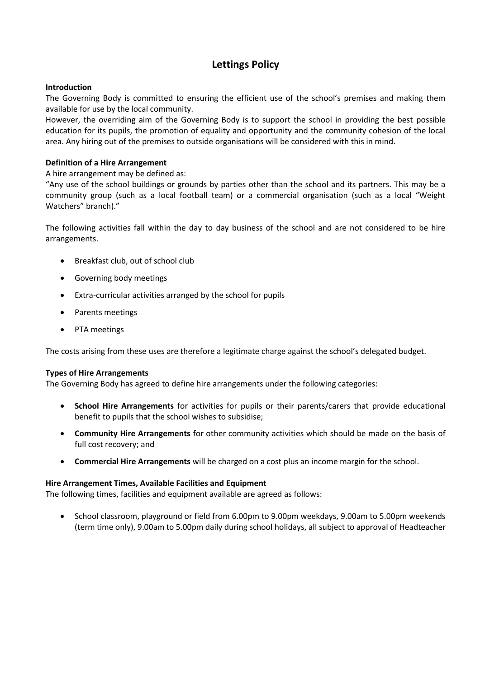## **Lettings Policy**

#### **Introduction**

The Governing Body is committed to ensuring the efficient use of the school's premises and making them available for use by the local community.

However, the overriding aim of the Governing Body is to support the school in providing the best possible education for its pupils, the promotion of equality and opportunity and the community cohesion of the local area. Any hiring out of the premises to outside organisations will be considered with this in mind.

#### **Definition of a Hire Arrangement**

A hire arrangement may be defined as:

"Any use of the school buildings or grounds by parties other than the school and its partners. This may be a community group (such as a local football team) or a commercial organisation (such as a local "Weight Watchers" branch)."

The following activities fall within the day to day business of the school and are not considered to be hire arrangements.

- Breakfast club, out of school club
- Governing body meetings
- Extra-curricular activities arranged by the school for pupils
- Parents meetings
- PTA meetings

The costs arising from these uses are therefore a legitimate charge against the school's delegated budget.

#### **Types of Hire Arrangements**

The Governing Body has agreed to define hire arrangements under the following categories:

- **School Hire Arrangements** for activities for pupils or their parents/carers that provide educational benefit to pupils that the school wishes to subsidise;
- **Community Hire Arrangements** for other community activities which should be made on the basis of full cost recovery; and
- **Commercial Hire Arrangements** will be charged on a cost plus an income margin for the school.

#### **Hire Arrangement Times, Available Facilities and Equipment**

The following times, facilities and equipment available are agreed as follows:

• School classroom, playground or field from 6.00pm to 9.00pm weekdays, 9.00am to 5.00pm weekends (term time only), 9.00am to 5.00pm daily during school holidays, all subject to approval of Headteacher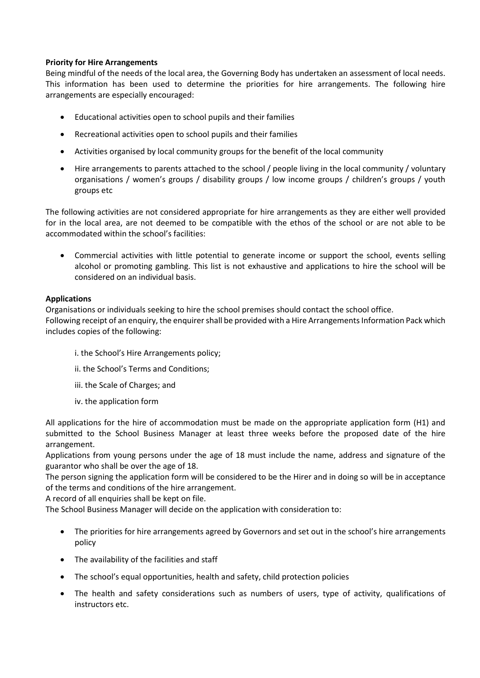#### **Priority for Hire Arrangements**

Being mindful of the needs of the local area, the Governing Body has undertaken an assessment of local needs. This information has been used to determine the priorities for hire arrangements. The following hire arrangements are especially encouraged:

- Educational activities open to school pupils and their families
- Recreational activities open to school pupils and their families
- Activities organised by local community groups for the benefit of the local community
- Hire arrangements to parents attached to the school / people living in the local community / voluntary organisations / women's groups / disability groups / low income groups / children's groups / youth groups etc

The following activities are not considered appropriate for hire arrangements as they are either well provided for in the local area, are not deemed to be compatible with the ethos of the school or are not able to be accommodated within the school's facilities:

• Commercial activities with little potential to generate income or support the school, events selling alcohol or promoting gambling. This list is not exhaustive and applications to hire the school will be considered on an individual basis.

#### **Applications**

Organisations or individuals seeking to hire the school premises should contact the school office. Following receipt of an enquiry, the enquirer shall be provided with a Hire Arrangements Information Pack which includes copies of the following:

- i. the School's Hire Arrangements policy;
- ii. the School's Terms and Conditions;
- iii. the Scale of Charges; and
- iv. the application form

All applications for the hire of accommodation must be made on the appropriate application form (H1) and submitted to the School Business Manager at least three weeks before the proposed date of the hire arrangement.

Applications from young persons under the age of 18 must include the name, address and signature of the guarantor who shall be over the age of 18.

The person signing the application form will be considered to be the Hirer and in doing so will be in acceptance of the terms and conditions of the hire arrangement.

A record of all enquiries shall be kept on file.

The School Business Manager will decide on the application with consideration to:

- The priorities for hire arrangements agreed by Governors and set out in the school's hire arrangements policy
- The availability of the facilities and staff
- The school's equal opportunities, health and safety, child protection policies
- The health and safety considerations such as numbers of users, type of activity, qualifications of instructors etc.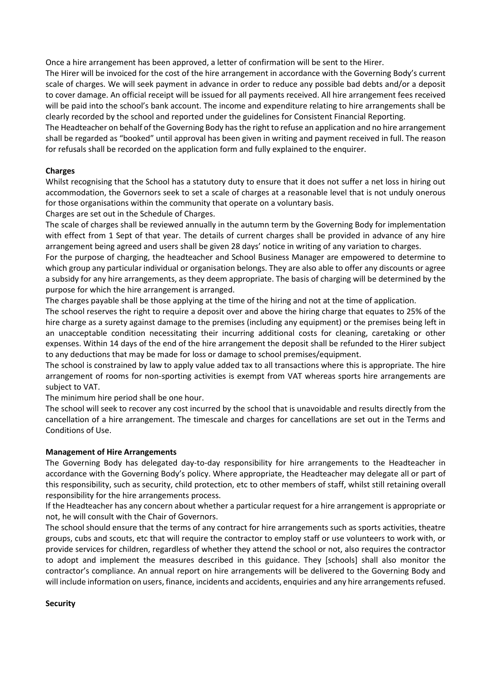Once a hire arrangement has been approved, a letter of confirmation will be sent to the Hirer.

The Hirer will be invoiced for the cost of the hire arrangement in accordance with the Governing Body's current scale of charges. We will seek payment in advance in order to reduce any possible bad debts and/or a deposit to cover damage. An official receipt will be issued for all payments received. All hire arrangement fees received will be paid into the school's bank account. The income and expenditure relating to hire arrangements shall be clearly recorded by the school and reported under the guidelines for Consistent Financial Reporting.

The Headteacher on behalf of the Governing Body has the right to refuse an application and no hire arrangement shall be regarded as "booked" until approval has been given in writing and payment received in full. The reason for refusals shall be recorded on the application form and fully explained to the enquirer.

#### **Charges**

Whilst recognising that the School has a statutory duty to ensure that it does not suffer a net loss in hiring out accommodation, the Governors seek to set a scale of charges at a reasonable level that is not unduly onerous for those organisations within the community that operate on a voluntary basis.

Charges are set out in the Schedule of Charges.

The scale of charges shall be reviewed annually in the autumn term by the Governing Body for implementation with effect from 1 Sept of that year. The details of current charges shall be provided in advance of any hire arrangement being agreed and users shall be given 28 days' notice in writing of any variation to charges.

For the purpose of charging, the headteacher and School Business Manager are empowered to determine to which group any particular individual or organisation belongs. They are also able to offer any discounts or agree a subsidy for any hire arrangements, as they deem appropriate. The basis of charging will be determined by the purpose for which the hire arrangement is arranged.

The charges payable shall be those applying at the time of the hiring and not at the time of application.

The school reserves the right to require a deposit over and above the hiring charge that equates to 25% of the hire charge as a surety against damage to the premises (including any equipment) or the premises being left in an unacceptable condition necessitating their incurring additional costs for cleaning, caretaking or other expenses. Within 14 days of the end of the hire arrangement the deposit shall be refunded to the Hirer subject to any deductions that may be made for loss or damage to school premises/equipment.

The school is constrained by law to apply value added tax to all transactions where this is appropriate. The hire arrangement of rooms for non-sporting activities is exempt from VAT whereas sports hire arrangements are subject to VAT.

The minimum hire period shall be one hour.

The school will seek to recover any cost incurred by the school that is unavoidable and results directly from the cancellation of a hire arrangement. The timescale and charges for cancellations are set out in the Terms and Conditions of Use.

### **Management of Hire Arrangements**

The Governing Body has delegated day-to-day responsibility for hire arrangements to the Headteacher in accordance with the Governing Body's policy. Where appropriate, the Headteacher may delegate all or part of this responsibility, such as security, child protection, etc to other members of staff, whilst still retaining overall responsibility for the hire arrangements process.

If the Headteacher has any concern about whether a particular request for a hire arrangement is appropriate or not, he will consult with the Chair of Governors.

The school should ensure that the terms of any contract for hire arrangements such as sports activities, theatre groups, cubs and scouts, etc that will require the contractor to employ staff or use volunteers to work with, or provide services for children, regardless of whether they attend the school or not, also requires the contractor to adopt and implement the measures described in this guidance. They [schools] shall also monitor the contractor's compliance. An annual report on hire arrangements will be delivered to the Governing Body and will include information on users, finance, incidents and accidents, enquiries and any hire arrangements refused.

#### **Security**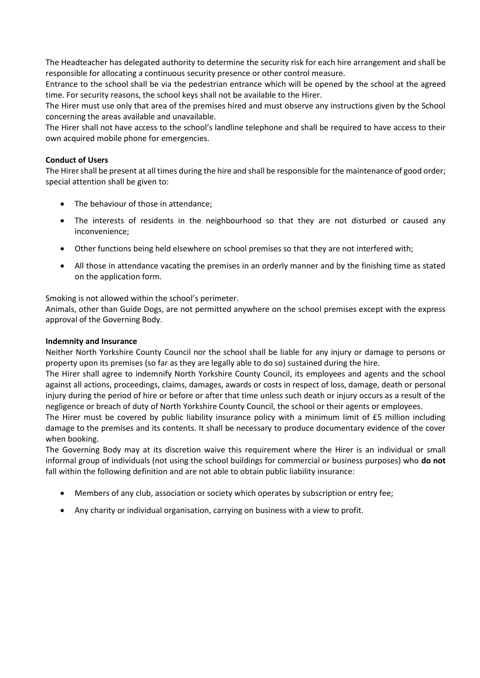The Headteacher has delegated authority to determine the security risk for each hire arrangement and shall be responsible for allocating a continuous security presence or other control measure.

Entrance to the school shall be via the pedestrian entrance which will be opened by the school at the agreed time. For security reasons, the school keys shall not be available to the Hirer.

The Hirer must use only that area of the premises hired and must observe any instructions given by the School concerning the areas available and unavailable.

The Hirer shall not have access to the school's landline telephone and shall be required to have access to their own acquired mobile phone for emergencies.

#### **Conduct of Users**

The Hirer shall be present at all times during the hire and shall be responsible for the maintenance of good order; special attention shall be given to:

- The behaviour of those in attendance;
- The interests of residents in the neighbourhood so that they are not disturbed or caused any inconvenience;
- Other functions being held elsewhere on school premises so that they are not interfered with;
- All those in attendance vacating the premises in an orderly manner and by the finishing time as stated on the application form.

Smoking is not allowed within the school's perimeter.

Animals, other than Guide Dogs, are not permitted anywhere on the school premises except with the express approval of the Governing Body.

#### **Indemnity and Insurance**

Neither North Yorkshire County Council nor the school shall be liable for any injury or damage to persons or property upon its premises (so far as they are legally able to do so) sustained during the hire.

The Hirer shall agree to indemnify North Yorkshire County Council, its employees and agents and the school against all actions, proceedings, claims, damages, awards or costs in respect of loss, damage, death or personal injury during the period of hire or before or after that time unless such death or injury occurs as a result of the negligence or breach of duty of North Yorkshire County Council, the school or their agents or employees.

The Hirer must be covered by public liability insurance policy with a minimum limit of £5 million including damage to the premises and its contents. It shall be necessary to produce documentary evidence of the cover when booking.

The Governing Body may at its discretion waive this requirement where the Hirer is an individual or small informal group of individuals (not using the school buildings for commercial or business purposes) who **do not**  fall within the following definition and are not able to obtain public liability insurance:

- Members of any club, association or society which operates by subscription or entry fee;
- Any charity or individual organisation, carrying on business with a view to profit.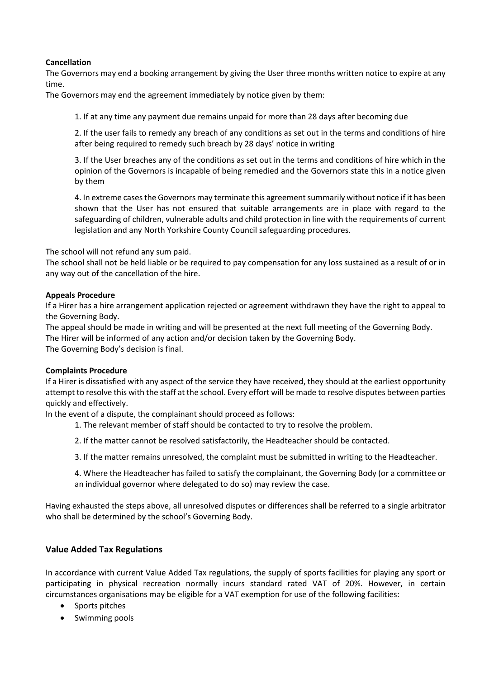#### **Cancellation**

The Governors may end a booking arrangement by giving the User three months written notice to expire at any time.

The Governors may end the agreement immediately by notice given by them:

1. If at any time any payment due remains unpaid for more than 28 days after becoming due

2. If the user fails to remedy any breach of any conditions as set out in the terms and conditions of hire after being required to remedy such breach by 28 days' notice in writing

3. If the User breaches any of the conditions as set out in the terms and conditions of hire which in the opinion of the Governors is incapable of being remedied and the Governors state this in a notice given by them

4. In extreme cases the Governors may terminate this agreement summarily without notice if it has been shown that the User has not ensured that suitable arrangements are in place with regard to the safeguarding of children, vulnerable adults and child protection in line with the requirements of current legislation and any North Yorkshire County Council safeguarding procedures.

The school will not refund any sum paid.

The school shall not be held liable or be required to pay compensation for any loss sustained as a result of or in any way out of the cancellation of the hire.

#### **Appeals Procedure**

If a Hirer has a hire arrangement application rejected or agreement withdrawn they have the right to appeal to the Governing Body.

The appeal should be made in writing and will be presented at the next full meeting of the Governing Body.

The Hirer will be informed of any action and/or decision taken by the Governing Body.

The Governing Body's decision is final.

#### **Complaints Procedure**

If a Hirer is dissatisfied with any aspect of the service they have received, they should at the earliest opportunity attempt to resolve this with the staff at the school. Every effort will be made to resolve disputes between parties quickly and effectively.

In the event of a dispute, the complainant should proceed as follows:

- 1. The relevant member of staff should be contacted to try to resolve the problem.
- 2. If the matter cannot be resolved satisfactorily, the Headteacher should be contacted.
- 3. If the matter remains unresolved, the complaint must be submitted in writing to the Headteacher.
- 4. Where the Headteacher has failed to satisfy the complainant, the Governing Body (or a committee or an individual governor where delegated to do so) may review the case.

Having exhausted the steps above, all unresolved disputes or differences shall be referred to a single arbitrator who shall be determined by the school's Governing Body.

#### **Value Added Tax Regulations**

In accordance with current Value Added Tax regulations, the supply of sports facilities for playing any sport or participating in physical recreation normally incurs standard rated VAT of 20%. However, in certain circumstances organisations may be eligible for a VAT exemption for use of the following facilities:

- Sports pitches
- Swimming pools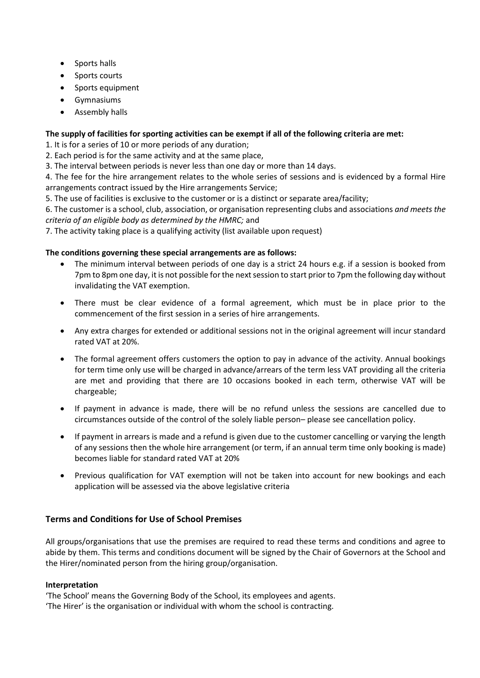- Sports halls
- Sports courts
- Sports equipment
- Gymnasiums
- Assembly halls

### **The supply of facilities for sporting activities can be exempt if all of the following criteria are met:**

1. It is for a series of 10 or more periods of any duration;

2. Each period is for the same activity and at the same place,

3. The interval between periods is never less than one day or more than 14 days.

4. The fee for the hire arrangement relates to the whole series of sessions and is evidenced by a formal Hire arrangements contract issued by the Hire arrangements Service;

5. The use of facilities is exclusive to the customer or is a distinct or separate area/facility;

6. The customer is a school, club, association, or organisation representing clubs and associations *and meets the criteria of an eligible body as determined by the HMRC;* and

7. The activity taking place is a qualifying activity (list available upon request)

#### **The conditions governing these special arrangements are as follows:**

- The minimum interval between periods of one day is a strict 24 hours e.g. if a session is booked from 7pm to 8pm one day, it is not possible for the next session to start prior to 7pm the following day without invalidating the VAT exemption.
- There must be clear evidence of a formal agreement, which must be in place prior to the commencement of the first session in a series of hire arrangements.
- Any extra charges for extended or additional sessions not in the original agreement will incur standard rated VAT at 20%.
- The formal agreement offers customers the option to pay in advance of the activity. Annual bookings for term time only use will be charged in advance/arrears of the term less VAT providing all the criteria are met and providing that there are 10 occasions booked in each term, otherwise VAT will be chargeable;
- If payment in advance is made, there will be no refund unless the sessions are cancelled due to circumstances outside of the control of the solely liable person– please see cancellation policy.
- If payment in arrears is made and a refund is given due to the customer cancelling or varying the length of any sessions then the whole hire arrangement (or term, if an annual term time only booking is made) becomes liable for standard rated VAT at 20%
- Previous qualification for VAT exemption will not be taken into account for new bookings and each application will be assessed via the above legislative criteria

### **Terms and Conditions for Use of School Premises**

All groups/organisations that use the premises are required to read these terms and conditions and agree to abide by them. This terms and conditions document will be signed by the Chair of Governors at the School and the Hirer/nominated person from the hiring group/organisation.

#### **Interpretation**

'The School' means the Governing Body of the School, its employees and agents. 'The Hirer' is the organisation or individual with whom the school is contracting.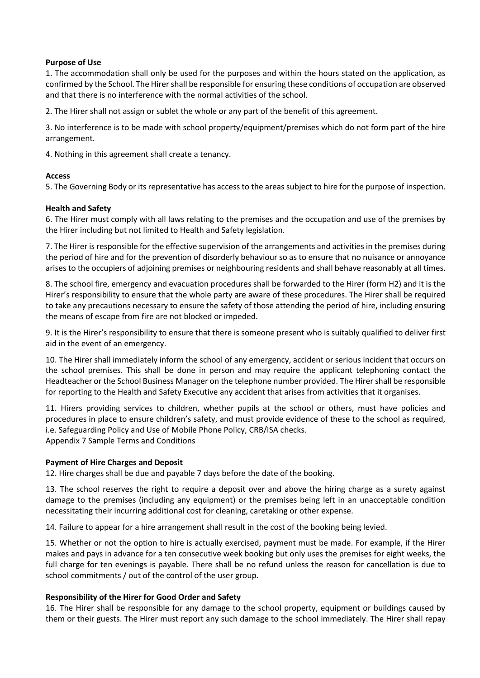#### **Purpose of Use**

1. The accommodation shall only be used for the purposes and within the hours stated on the application, as confirmed by the School. The Hirer shall be responsible for ensuring these conditions of occupation are observed and that there is no interference with the normal activities of the school.

2. The Hirer shall not assign or sublet the whole or any part of the benefit of this agreement.

3. No interference is to be made with school property/equipment/premises which do not form part of the hire arrangement.

4. Nothing in this agreement shall create a tenancy.

#### **Access**

5. The Governing Body or its representative has access to the areas subject to hire for the purpose of inspection.

#### **Health and Safety**

6. The Hirer must comply with all laws relating to the premises and the occupation and use of the premises by the Hirer including but not limited to Health and Safety legislation.

7. The Hirer is responsible for the effective supervision of the arrangements and activities in the premises during the period of hire and for the prevention of disorderly behaviour so as to ensure that no nuisance or annoyance arises to the occupiers of adjoining premises or neighbouring residents and shall behave reasonably at all times.

8. The school fire, emergency and evacuation procedures shall be forwarded to the Hirer (form H2) and it is the Hirer's responsibility to ensure that the whole party are aware of these procedures. The Hirer shall be required to take any precautions necessary to ensure the safety of those attending the period of hire, including ensuring the means of escape from fire are not blocked or impeded.

9. It is the Hirer's responsibility to ensure that there is someone present who is suitably qualified to deliver first aid in the event of an emergency.

10. The Hirer shall immediately inform the school of any emergency, accident or serious incident that occurs on the school premises. This shall be done in person and may require the applicant telephoning contact the Headteacher or the School Business Manager on the telephone number provided. The Hirer shall be responsible for reporting to the Health and Safety Executive any accident that arises from activities that it organises.

11. Hirers providing services to children, whether pupils at the school or others, must have policies and procedures in place to ensure children's safety, and must provide evidence of these to the school as required, i.e. Safeguarding Policy and Use of Mobile Phone Policy, CRB/ISA checks. Appendix 7 Sample Terms and Conditions

### **Payment of Hire Charges and Deposit**

12. Hire charges shall be due and payable 7 days before the date of the booking.

13. The school reserves the right to require a deposit over and above the hiring charge as a surety against damage to the premises (including any equipment) or the premises being left in an unacceptable condition necessitating their incurring additional cost for cleaning, caretaking or other expense.

14. Failure to appear for a hire arrangement shall result in the cost of the booking being levied.

15. Whether or not the option to hire is actually exercised, payment must be made. For example, if the Hirer makes and pays in advance for a ten consecutive week booking but only uses the premises for eight weeks, the full charge for ten evenings is payable. There shall be no refund unless the reason for cancellation is due to school commitments / out of the control of the user group.

#### **Responsibility of the Hirer for Good Order and Safety**

16. The Hirer shall be responsible for any damage to the school property, equipment or buildings caused by them or their guests. The Hirer must report any such damage to the school immediately. The Hirer shall repay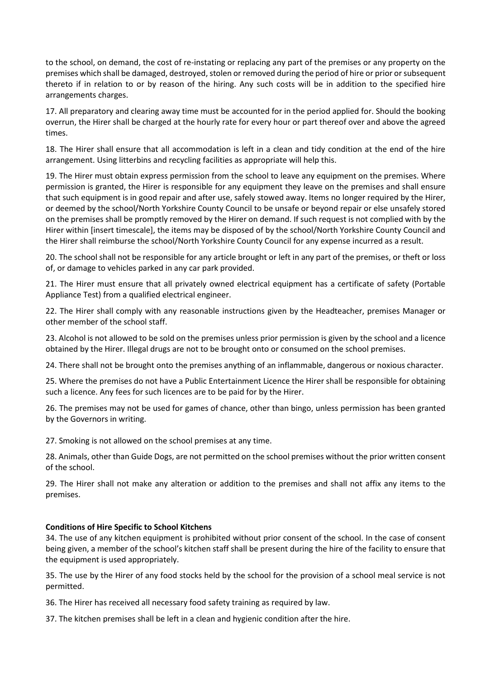to the school, on demand, the cost of re-instating or replacing any part of the premises or any property on the premises which shall be damaged, destroyed, stolen or removed during the period of hire or prior or subsequent thereto if in relation to or by reason of the hiring. Any such costs will be in addition to the specified hire arrangements charges.

17. All preparatory and clearing away time must be accounted for in the period applied for. Should the booking overrun, the Hirer shall be charged at the hourly rate for every hour or part thereof over and above the agreed times.

18. The Hirer shall ensure that all accommodation is left in a clean and tidy condition at the end of the hire arrangement. Using litterbins and recycling facilities as appropriate will help this.

19. The Hirer must obtain express permission from the school to leave any equipment on the premises. Where permission is granted, the Hirer is responsible for any equipment they leave on the premises and shall ensure that such equipment is in good repair and after use, safely stowed away. Items no longer required by the Hirer, or deemed by the school/North Yorkshire County Council to be unsafe or beyond repair or else unsafely stored on the premises shall be promptly removed by the Hirer on demand. If such request is not complied with by the Hirer within [insert timescale], the items may be disposed of by the school/North Yorkshire County Council and the Hirer shall reimburse the school/North Yorkshire County Council for any expense incurred as a result.

20. The school shall not be responsible for any article brought or left in any part of the premises, or theft or loss of, or damage to vehicles parked in any car park provided.

21. The Hirer must ensure that all privately owned electrical equipment has a certificate of safety (Portable Appliance Test) from a qualified electrical engineer.

22. The Hirer shall comply with any reasonable instructions given by the Headteacher, premises Manager or other member of the school staff.

23. Alcohol is not allowed to be sold on the premises unless prior permission is given by the school and a licence obtained by the Hirer. Illegal drugs are not to be brought onto or consumed on the school premises.

24. There shall not be brought onto the premises anything of an inflammable, dangerous or noxious character.

25. Where the premises do not have a Public Entertainment Licence the Hirer shall be responsible for obtaining such a licence. Any fees for such licences are to be paid for by the Hirer.

26. The premises may not be used for games of chance, other than bingo, unless permission has been granted by the Governors in writing.

27. Smoking is not allowed on the school premises at any time.

28. Animals, other than Guide Dogs, are not permitted on the school premises without the prior written consent of the school.

29. The Hirer shall not make any alteration or addition to the premises and shall not affix any items to the premises.

### **Conditions of Hire Specific to School Kitchens**

34. The use of any kitchen equipment is prohibited without prior consent of the school. In the case of consent being given, a member of the school's kitchen staff shall be present during the hire of the facility to ensure that the equipment is used appropriately.

35. The use by the Hirer of any food stocks held by the school for the provision of a school meal service is not permitted.

36. The Hirer has received all necessary food safety training as required by law.

37. The kitchen premises shall be left in a clean and hygienic condition after the hire.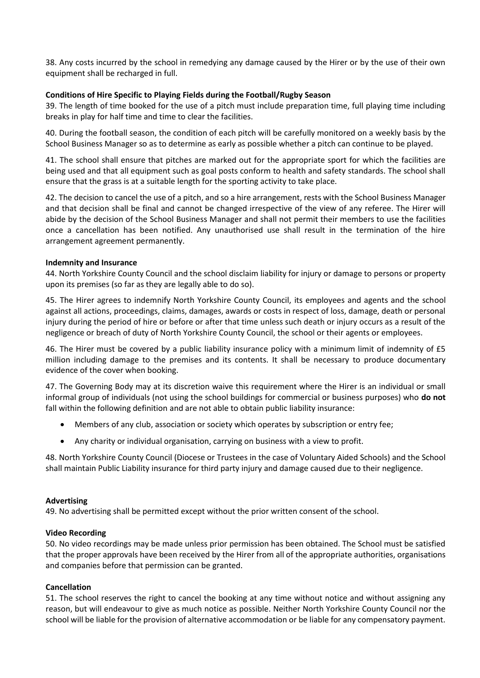38. Any costs incurred by the school in remedying any damage caused by the Hirer or by the use of their own equipment shall be recharged in full.

#### **Conditions of Hire Specific to Playing Fields during the Football/Rugby Season**

39. The length of time booked for the use of a pitch must include preparation time, full playing time including breaks in play for half time and time to clear the facilities.

40. During the football season, the condition of each pitch will be carefully monitored on a weekly basis by the School Business Manager so as to determine as early as possible whether a pitch can continue to be played.

41. The school shall ensure that pitches are marked out for the appropriate sport for which the facilities are being used and that all equipment such as goal posts conform to health and safety standards. The school shall ensure that the grass is at a suitable length for the sporting activity to take place.

42. The decision to cancel the use of a pitch, and so a hire arrangement, rests with the School Business Manager and that decision shall be final and cannot be changed irrespective of the view of any referee. The Hirer will abide by the decision of the School Business Manager and shall not permit their members to use the facilities once a cancellation has been notified. Any unauthorised use shall result in the termination of the hire arrangement agreement permanently.

#### **Indemnity and Insurance**

44. North Yorkshire County Council and the school disclaim liability for injury or damage to persons or property upon its premises (so far as they are legally able to do so).

45. The Hirer agrees to indemnify North Yorkshire County Council, its employees and agents and the school against all actions, proceedings, claims, damages, awards or costs in respect of loss, damage, death or personal injury during the period of hire or before or after that time unless such death or injury occurs as a result of the negligence or breach of duty of North Yorkshire County Council, the school or their agents or employees.

46. The Hirer must be covered by a public liability insurance policy with a minimum limit of indemnity of £5 million including damage to the premises and its contents. It shall be necessary to produce documentary evidence of the cover when booking.

47. The Governing Body may at its discretion waive this requirement where the Hirer is an individual or small informal group of individuals (not using the school buildings for commercial or business purposes) who **do not**  fall within the following definition and are not able to obtain public liability insurance:

- Members of any club, association or society which operates by subscription or entry fee;
- Any charity or individual organisation, carrying on business with a view to profit.

48. North Yorkshire County Council (Diocese or Trustees in the case of Voluntary Aided Schools) and the School shall maintain Public Liability insurance for third party injury and damage caused due to their negligence.

#### **Advertising**

49. No advertising shall be permitted except without the prior written consent of the school.

#### **Video Recording**

50. No video recordings may be made unless prior permission has been obtained. The School must be satisfied that the proper approvals have been received by the Hirer from all of the appropriate authorities, organisations and companies before that permission can be granted.

#### **Cancellation**

51. The school reserves the right to cancel the booking at any time without notice and without assigning any reason, but will endeavour to give as much notice as possible. Neither North Yorkshire County Council nor the school will be liable for the provision of alternative accommodation or be liable for any compensatory payment.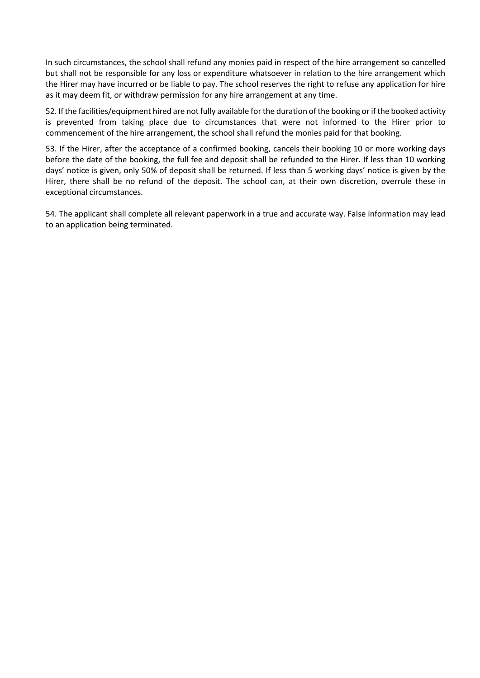In such circumstances, the school shall refund any monies paid in respect of the hire arrangement so cancelled but shall not be responsible for any loss or expenditure whatsoever in relation to the hire arrangement which the Hirer may have incurred or be liable to pay. The school reserves the right to refuse any application for hire as it may deem fit, or withdraw permission for any hire arrangement at any time.

52. If the facilities/equipment hired are not fully available for the duration of the booking or if the booked activity is prevented from taking place due to circumstances that were not informed to the Hirer prior to commencement of the hire arrangement, the school shall refund the monies paid for that booking.

53. If the Hirer, after the acceptance of a confirmed booking, cancels their booking 10 or more working days before the date of the booking, the full fee and deposit shall be refunded to the Hirer. If less than 10 working days' notice is given, only 50% of deposit shall be returned. If less than 5 working days' notice is given by the Hirer, there shall be no refund of the deposit. The school can, at their own discretion, overrule these in exceptional circumstances.

54. The applicant shall complete all relevant paperwork in a true and accurate way. False information may lead to an application being terminated.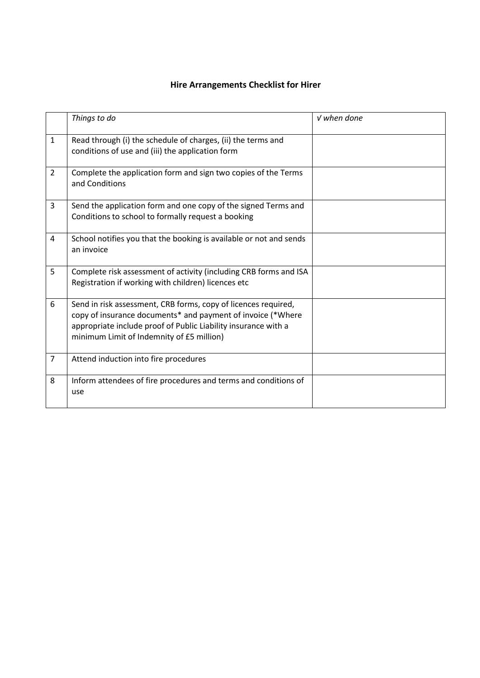## **Hire Arrangements Checklist for Hirer**

|                | Things to do                                                                                                                                                                                                                                 | $V$ when done |
|----------------|----------------------------------------------------------------------------------------------------------------------------------------------------------------------------------------------------------------------------------------------|---------------|
| $\mathbf{1}$   | Read through (i) the schedule of charges, (ii) the terms and<br>conditions of use and (iii) the application form                                                                                                                             |               |
| $\overline{2}$ | Complete the application form and sign two copies of the Terms<br>and Conditions                                                                                                                                                             |               |
| 3              | Send the application form and one copy of the signed Terms and<br>Conditions to school to formally request a booking                                                                                                                         |               |
| 4              | School notifies you that the booking is available or not and sends<br>an invoice                                                                                                                                                             |               |
| 5              | Complete risk assessment of activity (including CRB forms and ISA<br>Registration if working with children) licences etc                                                                                                                     |               |
| 6              | Send in risk assessment, CRB forms, copy of licences required,<br>copy of insurance documents* and payment of invoice (*Where<br>appropriate include proof of Public Liability insurance with a<br>minimum Limit of Indemnity of £5 million) |               |
| $\overline{7}$ | Attend induction into fire procedures                                                                                                                                                                                                        |               |
| 8              | Inform attendees of fire procedures and terms and conditions of<br>use                                                                                                                                                                       |               |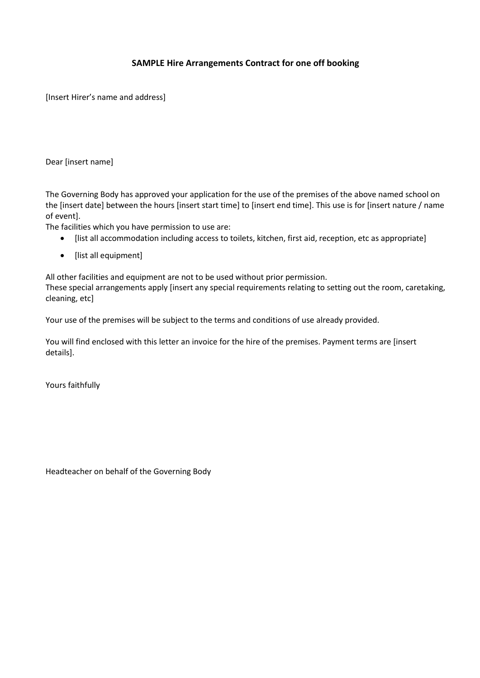## **SAMPLE Hire Arrangements Contract for one off booking**

[Insert Hirer's name and address]

Dear [insert name]

The Governing Body has approved your application for the use of the premises of the above named school on the [insert date] between the hours [insert start time] to [insert end time]. This use is for [insert nature / name of event].

The facilities which you have permission to use are:

- [list all accommodation including access to toilets, kitchen, first aid, reception, etc as appropriate]
- [list all equipment]

All other facilities and equipment are not to be used without prior permission.

These special arrangements apply [insert any special requirements relating to setting out the room, caretaking, cleaning, etc]

Your use of the premises will be subject to the terms and conditions of use already provided.

You will find enclosed with this letter an invoice for the hire of the premises. Payment terms are [insert details].

Yours faithfully

Headteacher on behalf of the Governing Body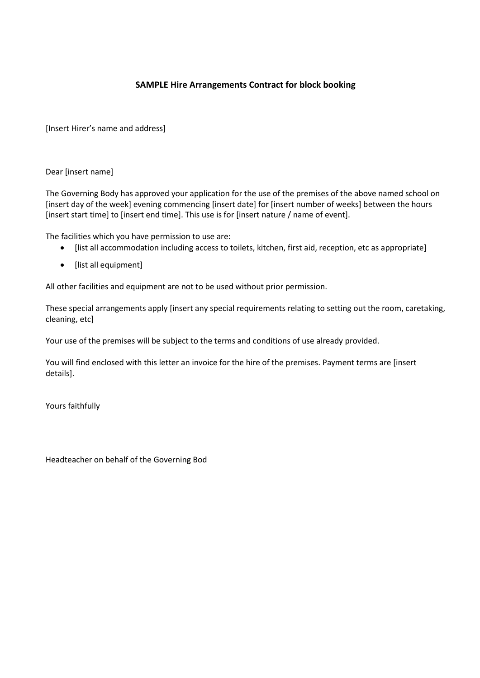## **SAMPLE Hire Arrangements Contract for block booking**

[Insert Hirer's name and address]

Dear [insert name]

The Governing Body has approved your application for the use of the premises of the above named school on [insert day of the week] evening commencing [insert date] for [insert number of weeks] between the hours [insert start time] to [insert end time]. This use is for [insert nature / name of event].

The facilities which you have permission to use are:

- [list all accommodation including access to toilets, kitchen, first aid, reception, etc as appropriate]
- [list all equipment]

All other facilities and equipment are not to be used without prior permission.

These special arrangements apply [insert any special requirements relating to setting out the room, caretaking, cleaning, etc]

Your use of the premises will be subject to the terms and conditions of use already provided.

You will find enclosed with this letter an invoice for the hire of the premises. Payment terms are [insert details].

Yours faithfully

Headteacher on behalf of the Governing Bod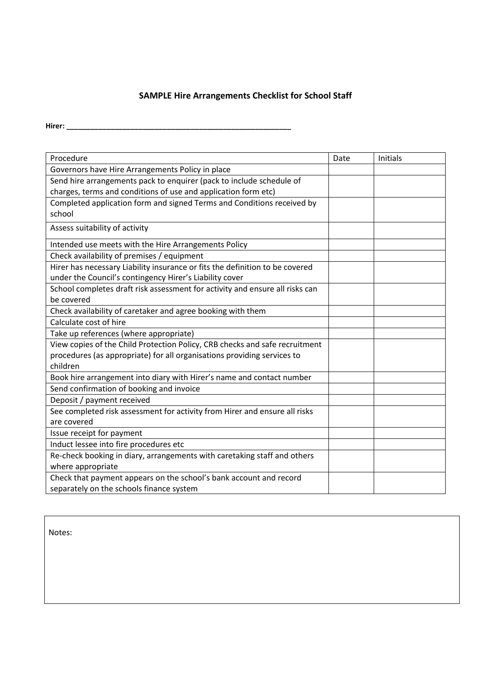## **SAMPLE Hire Arrangements Checklist for School Staff**

**Hirer: \_\_\_\_\_\_\_\_\_\_\_\_\_\_\_\_\_\_\_\_\_\_\_\_\_\_\_\_\_\_\_\_\_\_\_\_\_\_\_\_\_\_\_\_\_\_\_\_\_\_\_\_\_\_\_\_**

| Procedure                                                                    | Date | Initials |
|------------------------------------------------------------------------------|------|----------|
| Governors have Hire Arrangements Policy in place                             |      |          |
| Send hire arrangements pack to enquirer (pack to include schedule of         |      |          |
| charges, terms and conditions of use and application form etc)               |      |          |
| Completed application form and signed Terms and Conditions received by       |      |          |
| school                                                                       |      |          |
| Assess suitability of activity                                               |      |          |
| Intended use meets with the Hire Arrangements Policy                         |      |          |
| Check availability of premises / equipment                                   |      |          |
| Hirer has necessary Liability insurance or fits the definition to be covered |      |          |
| under the Council's contingency Hirer's Liability cover                      |      |          |
| School completes draft risk assessment for activity and ensure all risks can |      |          |
| be covered                                                                   |      |          |
| Check availability of caretaker and agree booking with them                  |      |          |
| Calculate cost of hire                                                       |      |          |
| Take up references (where appropriate)                                       |      |          |
| View copies of the Child Protection Policy, CRB checks and safe recruitment  |      |          |
| procedures (as appropriate) for all organisations providing services to      |      |          |
| children                                                                     |      |          |
| Book hire arrangement into diary with Hirer's name and contact number        |      |          |
| Send confirmation of booking and invoice                                     |      |          |
| Deposit / payment received                                                   |      |          |
| See completed risk assessment for activity from Hirer and ensure all risks   |      |          |
| are covered                                                                  |      |          |
| Issue receipt for payment                                                    |      |          |
| Induct lessee into fire procedures etc                                       |      |          |
| Re-check booking in diary, arrangements with caretaking staff and others     |      |          |
| where appropriate                                                            |      |          |
| Check that payment appears on the school's bank account and record           |      |          |
| separately on the schools finance system                                     |      |          |

Notes: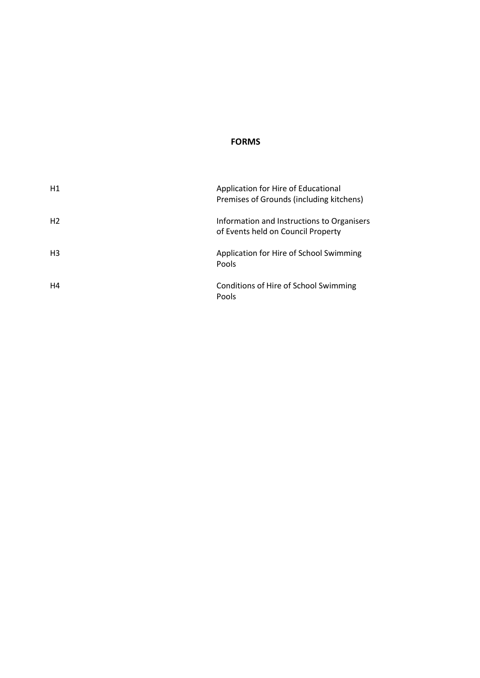#### **FORMS**

| H1             | Application for Hire of Educational<br>Premises of Grounds (including kitchens)  |
|----------------|----------------------------------------------------------------------------------|
| H <sub>2</sub> | Information and Instructions to Organisers<br>of Events held on Council Property |
| H <sub>3</sub> | Application for Hire of School Swimming<br>Pools                                 |
| H4             | Conditions of Hire of School Swimming<br>Pools                                   |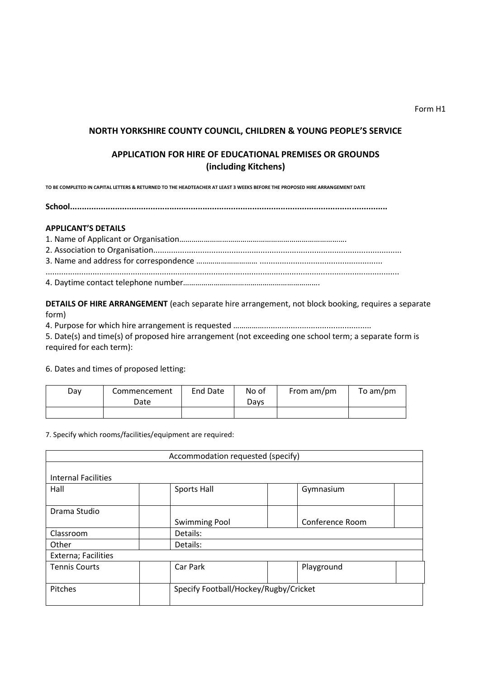## **NORTH YORKSHIRE COUNTY COUNCIL, CHILDREN & YOUNG PEOPLE'S SERVICE**

## **APPLICATION FOR HIRE OF EDUCATIONAL PREMISES OR GROUNDS (including Kitchens)**

**TO BE COMPLETED IN CAPITAL LETTERS & RETURNED TO THE HEADTEACHER AT LEAST 3 WEEKS BEFORE THE PROPOSED HIRE ARRANGEMENT DATE** 

**School......................................................................................................................................** 

#### **APPLICANT'S DETAILS**

1. Name of Applicant or Organisation………………………………………………………………………. 2. Association to Organisation............................................................................................................... 3. Name and address for correspondence ………………………… ....................................................... .............................................................................................................................................................. 4. Daytime contact telephone number………………………………………………………….

**DETAILS OF HIRE ARRANGEMENT** (each separate hire arrangement, not block booking, requires a separate form)

4. Purpose for which hire arrangement is requested ……………................................................

5. Date(s) and time(s) of proposed hire arrangement (not exceeding one school term; a separate form is required for each term):

6. Dates and times of proposed letting:

| Day | Commencement<br>Date | End Date | No of<br>Davs | From am/pm | To am/pm |
|-----|----------------------|----------|---------------|------------|----------|
|     |                      |          |               |            |          |

7. Specify which rooms/facilities/equipment are required:

|                            | Accommodation requested (specify)     |                 |  |  |
|----------------------------|---------------------------------------|-----------------|--|--|
|                            |                                       |                 |  |  |
| <b>Internal Facilities</b> |                                       |                 |  |  |
| Hall                       | Sports Hall                           | Gymnasium       |  |  |
| Drama Studio               |                                       |                 |  |  |
|                            | <b>Swimming Pool</b>                  | Conference Room |  |  |
| Classroom                  | Details:                              |                 |  |  |
| Other                      | Details:                              |                 |  |  |
| Externa; Facilities        |                                       |                 |  |  |
| <b>Tennis Courts</b>       | Car Park                              | Playground      |  |  |
| Pitches                    | Specify Football/Hockey/Rugby/Cricket |                 |  |  |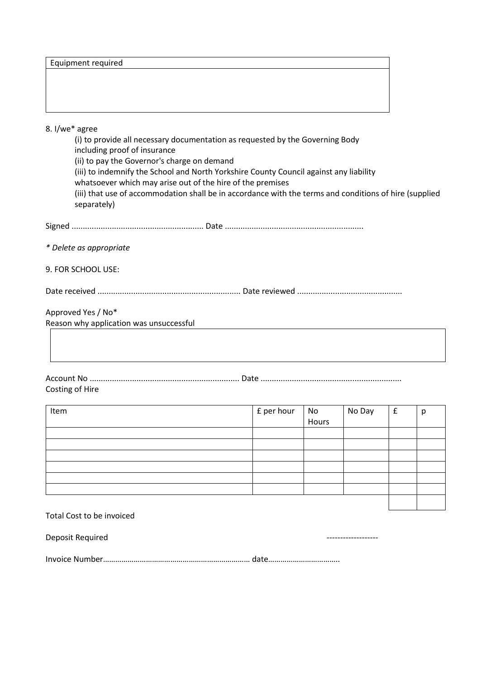| Equipment required |  |
|--------------------|--|
|--------------------|--|

### 8. I/we\* agree

(i) to provide all necessary documentation as requested by the Governing Body including proof of insurance (ii) to pay the Governor's charge on demand (iii) to indemnify the School and North Yorkshire County Council against any liability whatsoever which may arise out of the hire of the premises (iii) that use of accommodation shall be in accordance with the terms and conditions of hire (supplied separately)

| --<br>Sign <sub>c</sub> |  |
|-------------------------|--|
|-------------------------|--|

*\* Delete as appropriate*

9. FOR SCHOOL USE:

Date received ................................................................ Date reviewed ...............................................

Approved Yes / No\* Reason why application was unsuccessful

Account No ................................................................... Date ............................................................... Costing of Hire

| Item | £ per hour | No<br>Hours | No Day | £ | p |
|------|------------|-------------|--------|---|---|
|      |            |             |        |   |   |
|      |            |             |        |   |   |
|      |            |             |        |   |   |
|      |            |             |        |   |   |
|      |            |             |        |   |   |
|      |            |             |        |   |   |
|      |            |             |        |   |   |
|      |            |             |        |   |   |
|      |            |             |        |   |   |

#### Total Cost to be invoiced

Deposit Required  $\blacksquare$ 

|--|--|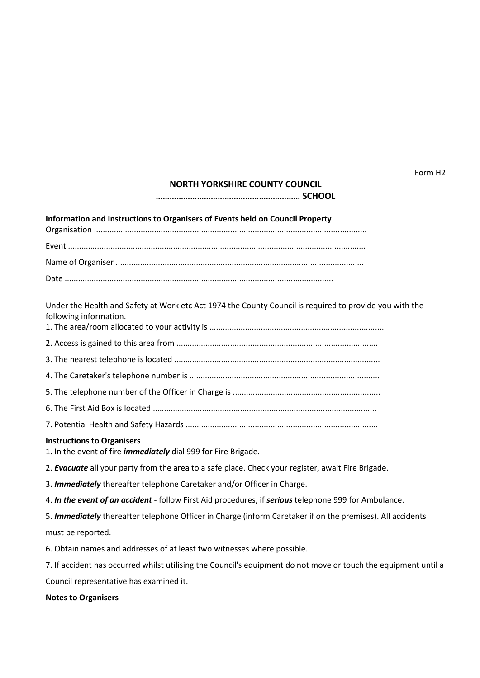Form H2

#### **NORTH YORKSHIRE COUNTY COUNCIL**

**……………………………………………………… SCHOOL**

#### **Information and Instructions to Organisers of Events held on Council Property**

Under the Health and Safety at Work etc Act 1974 the County Council is required to provide you with the following information.

1. The area/room allocated to your activity is ..............................................................................

2. Access is gained to this area from ..........................................................................................

3. The nearest telephone is located ............................................................................................

4. The Caretaker's telephone number is .....................................................................................

5. The telephone number of the Officer in Charge is ..................................................................

- 6. The First Aid Box is located ....................................................................................................
- 7. Potential Health and Safety Hazards ......................................................................................

#### **Instructions to Organisers**

1. In the event of fire *immediately* dial 999 for Fire Brigade.

2. *Evacuate* all your party from the area to a safe place. Check your register, await Fire Brigade.

3. *Immediately* thereafter telephone Caretaker and/or Officer in Charge.

4. *In the event of an accident* - follow First Aid procedures, if *serious* telephone 999 for Ambulance.

5. *Immediately* thereafter telephone Officer in Charge (inform Caretaker if on the premises). All accidents must be reported.

6. Obtain names and addresses of at least two witnesses where possible.

7. If accident has occurred whilst utilising the Council's equipment do not move or touch the equipment until a Council representative has examined it.

**Notes to Organisers**